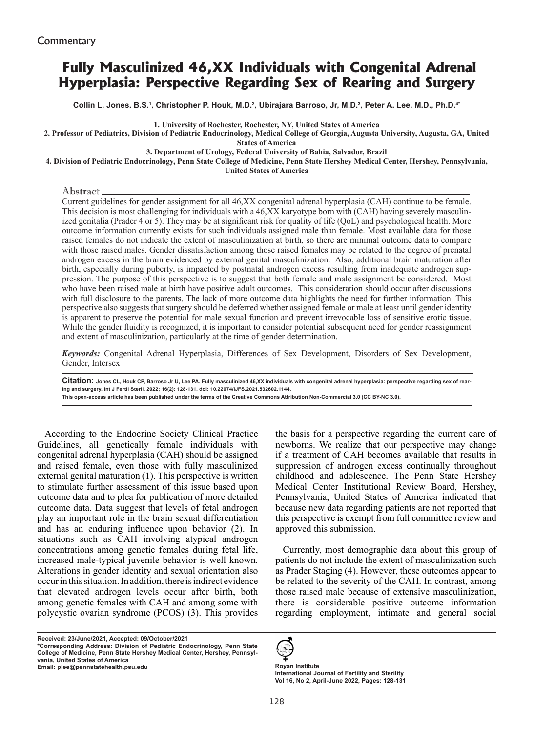# **Fully Masculinized 46,XX Individuals with Congenital Adrenal Hyperplasia: Perspective Regarding Sex of Rearing and Surgery**

**Collin L. Jones, B.S.1 , Christopher P. Houk, M.D.2 , Ubirajara Barroso, Jr, M.D.3 , Peter A. Lee, M.D., Ph.D.4\*** 

**1. University of Rochester, Rochester, NY, United States of America**

**2. Professor of Pediatrics, Division of Pediatric Endocrinology, Medical College of Georgia, Augusta University, Augusta, GA, United** 

**States of America** 

#### **3. Department of Urology, Federal University of Bahia, Salvador, Brazil**

**4. Division of Pediatric Endocrinology, Penn State College of Medicine, Penn State Hershey Medical Center, Hershey, Pennsylvania,** 

**United States of America**

#### Abstract

Current guidelines for gender assignment for all 46,XX congenital adrenal hyperplasia (CAH) continue to be female. This decision is most challenging for individuals with a 46,XX karyotype born with (CAH) having severely masculinized genitalia (Prader 4 or 5). They may be at significant risk for quality of life (QoL) and psychological health. More outcome information currently exists for such individuals assigned male than female. Most available data for those raised females do not indicate the extent of masculinization at birth, so there are minimal outcome data to compare with those raised males. Gender dissatisfaction among those raised females may be related to the degree of prenatal androgen excess in the brain evidenced by external genital masculinization. Also, additional brain maturation after birth, especially during puberty, is impacted by postnatal androgen excess resulting from inadequate androgen suppression. The purpose of this perspective is to suggest that both female and male assignment be considered. Most who have been raised male at birth have positive adult outcomes. This consideration should occur after discussions with full disclosure to the parents. The lack of more outcome data highlights the need for further information. This perspective also suggests that surgery should be deferred whether assigned female or male at least until gender identity is apparent to preserve the potential for male sexual function and prevent irrevocable loss of sensitive erotic tissue. While the gender fluidity is recognized, it is important to consider potential subsequent need for gender reassignment and extent of masculinization, particularly at the time of gender determination.

*Keywords:* Congenital Adrenal Hyperplasia, Differences of Sex Development, Disorders of Sex Development, Gender, Intersex

Citation: Jones CL, Houk CP, Barroso Jr U, Lee PA. Fully masculinized 46,XX individuals with congenital adrenal hyperplasia: perspective regarding sex of rear**ing and surgery. Int J Fertil Steril. 2022; 16(2): 128-131. doi: 10.22074/IJFS.2021.532602.1144. This open-access article has been published under the terms of the Creative Commons Attribution Non-Commercial 3.0 (CC BY-NC 3.0).**

According to the Endocrine Society Clinical Practice Guidelines, all genetically female individuals with congenital adrenal hyperplasia (CAH) should be assigned and raised female, even those with fully masculinized external genital maturation (1). This perspective is written to stimulate further assessment of this issue based upon outcome data and to plea for publication of more detailed outcome data. Data suggest that levels of fetal androgen play an important role in the brain sexual differentiation and has an enduring influence upon behavior (2). In situations such as CAH involving atypical androgen concentrations among genetic females during fetal life, increased male-typical juvenile behavior is well known. Alterations in gender identity and sexual orientation also occur in this situation. In addition, there is indirect evidence that elevated androgen levels occur after birth, both among genetic females with CAH and among some with polycystic ovarian syndrome (PCOS) (3). This provides

**Received: 23/June/2021, Accepted: 09/October/2021 \*Corresponding Address: Division of Pediatric Endocrinology, Penn State College of Medicine, Penn State Hershey Medical Center, Hershey, Pennsylvania, United States of America Email: plee@pennstatehealth.psu.edu Royan Institute**

the basis for a perspective regarding the current care of newborns. We realize that our perspective may change if a treatment of CAH becomes available that results in suppression of androgen excess continually throughout childhood and adolescence. The Penn State Hershey Medical Center Institutional Review Board, Hershey, Pennsylvania, United States of America indicated that because new data regarding patients are not reported that this perspective is exempt from full committee review and approved this submission.

Currently, most demographic data about this group of patients do not include the extent of masculinization such as Prader Staging (4). However, these outcomes appear to be related to the severity of the CAH. In contrast, among those raised male because of extensive masculinization, there is considerable positive outcome information regarding employment, intimate and general social



**International Journal of Fertility and Sterility Vol 16, No 2, April-June 2022, Pages: 128-131**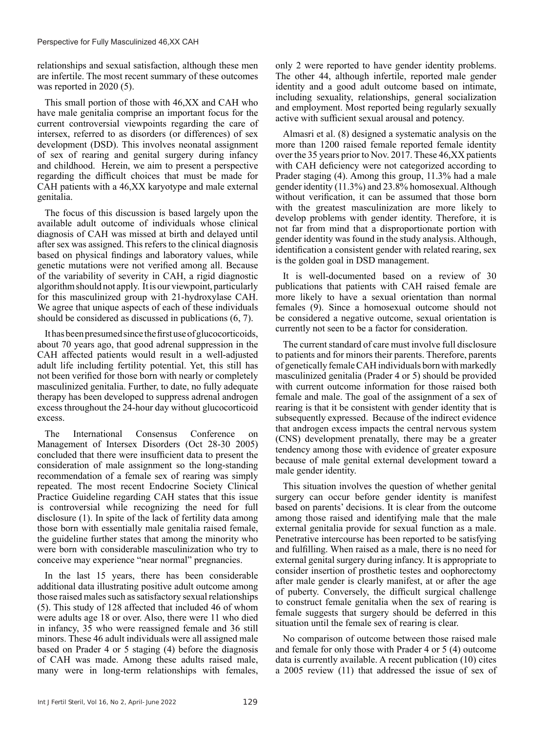relationships and sexual satisfaction, although these men are infertile. The most recent summary of these outcomes was reported in 2020 (5).

This small portion of those with 46,XX and CAH who have male genitalia comprise an important focus for the current controversial viewpoints regarding the care of intersex, referred to as disorders (or differences) of sex development (DSD). This involves neonatal assignment of sex of rearing and genital surgery during infancy and childhood. Herein, we aim to present a perspective regarding the difficult choices that must be made for CAH patients with a 46,XX karyotype and male external genitalia.

The focus of this discussion is based largely upon the available adult outcome of individuals whose clinical diagnosis of CAH was missed at birth and delayed until after sex was assigned. This refers to the clinical diagnosis based on physical findings and laboratory values, while genetic mutations were not verified among all. Because of the variability of severity in CAH, a rigid diagnostic algorithm should not apply. It is our viewpoint, particularly for this masculinized group with 21-hydroxylase CAH. We agree that unique aspects of each of these individuals should be considered as discussed in publications (6, 7).

It has been presumed since the first use of glucocorticoids, about 70 years ago, that good adrenal suppression in the CAH affected patients would result in a well-adjusted adult life including fertility potential. Yet, this still has not been verified for those born with nearly or completely masculinized genitalia. Further, to date, no fully adequate therapy has been developed to suppress adrenal androgen excess throughout the 24-hour day without glucocorticoid excess.

The International Consensus Conference on Management of Intersex Disorders (Oct 28-30 2005) concluded that there were insufficient data to present the consideration of male assignment so the long-standing recommendation of a female sex of rearing was simply repeated. The most recent Endocrine Society Clinical Practice Guideline regarding CAH states that this issue is controversial while recognizing the need for full disclosure (1). In spite of the lack of fertility data among those born with essentially male genitalia raised female, the guideline further states that among the minority who were born with considerable masculinization who try to conceive may experience "near normal" pregnancies.

In the last 15 years, there has been considerable additional data illustrating positive adult outcome among those raised males such as satisfactory sexual relationships (5). This study of 128 affected that included 46 of whom were adults age 18 or over. Also, there were 11 who died in infancy, 35 who were reassigned female and 36 still minors. These 46 adult individuals were all assigned male based on Prader 4 or 5 staging (4) before the diagnosis of CAH was made. Among these adults raised male, many were in long-term relationships with females,

only 2 were reported to have gender identity problems. The other 44, although infertile, reported male gender identity and a good adult outcome based on intimate, including sexuality, relationships, general socialization and employment. Most reported being regularly sexually active with sufficient sexual arousal and potency.

Almasri et al. (8) designed a systematic analysis on the more than 1200 raised female reported female identity over the 35 years prior to Nov. 2017. These 46,XX patients with CAH deficiency were not categorized according to Prader staging (4). Among this group, 11.3% had a male gender identity (11.3%) and 23.8% homosexual. Although without verification, it can be assumed that those born with the greatest masculinization are more likely to develop problems with gender identity. Therefore, it is not far from mind that a disproportionate portion with gender identity was found in the study analysis. Although, identification a consistent gender with related rearing, sex is the golden goal in DSD management.

It is well-documented based on a review of 30 publications that patients with CAH raised female are more likely to have a sexual orientation than normal females (9). Since a homosexual outcome should not be considered a negative outcome, sexual orientation is currently not seen to be a factor for consideration.

The current standard of care must involve full disclosure to patients and for minors their parents. Therefore, parents of genetically female CAH individuals born with markedly masculinized genitalia (Prader 4 or 5) should be provided with current outcome information for those raised both female and male. The goal of the assignment of a sex of rearing is that it be consistent with gender identity that is subsequently expressed. Because of the indirect evidence that androgen excess impacts the central nervous system (CNS) development prenatally, there may be a greater tendency among those with evidence of greater exposure because of male genital external development toward a male gender identity.

This situation involves the question of whether genital surgery can occur before gender identity is manifest based on parents' decisions. It is clear from the outcome among those raised and identifying male that the male external genitalia provide for sexual function as a male. Penetrative intercourse has been reported to be satisfying and fulfilling. When raised as a male, there is no need for external genital surgery during infancy. It is appropriate to consider insertion of prosthetic testes and oophorectomy after male gender is clearly manifest, at or after the age of puberty. Conversely, the difficult surgical challenge to construct female genitalia when the sex of rearing is female suggests that surgery should be deferred in this situation until the female sex of rearing is clear.

No comparison of outcome between those raised male and female for only those with Prader 4 or 5 (4) outcome data is currently available. A recent publication (10) cites a 2005 review (11) that addressed the issue of sex of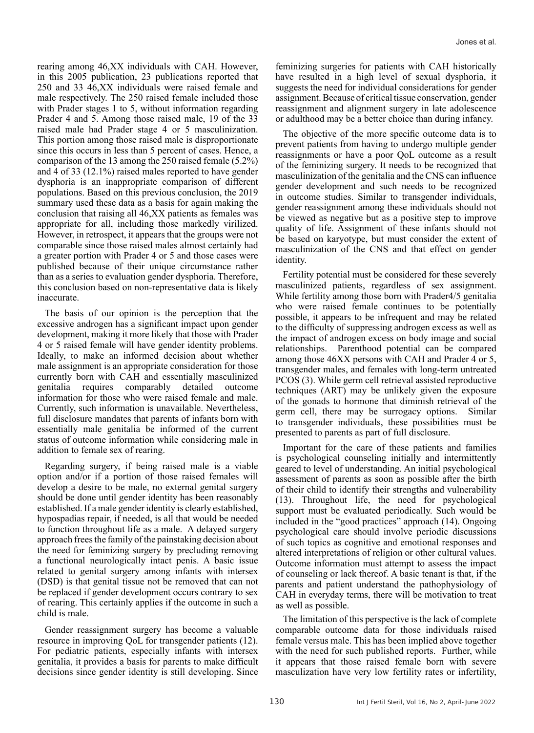rearing among 46,XX individuals with CAH. However, in this 2005 publication, 23 publications reported that 250 and 33 46,XX individuals were raised female and male respectively. The 250 raised female included those with Prader stages 1 to 5, without information regarding Prader 4 and 5. Among those raised male, 19 of the 33 raised male had Prader stage 4 or 5 masculinization. This portion among those raised male is disproportionate since this occurs in less than 5 percent of cases. Hence, a comparison of the 13 among the 250 raised female (5.2%) and 4 of 33 (12.1%) raised males reported to have gender dysphoria is an inappropriate comparison of different populations. Based on this previous conclusion, the 2019 summary used these data as a basis for again making the conclusion that raising all 46,XX patients as females was appropriate for all, including those markedly virilized. However, in retrospect, it appears that the groups were not comparable since those raised males almost certainly had a greater portion with Prader 4 or 5 and those cases were published because of their unique circumstance rather than as a series to evaluation gender dysphoria. Therefore, this conclusion based on non-representative data is likely inaccurate.

The basis of our opinion is the perception that the excessive androgen has a significant impact upon gender development, making it more likely that those with Prader 4 or 5 raised female will have gender identity problems. Ideally, to make an informed decision about whether male assignment is an appropriate consideration for those currently born with CAH and essentially masculinized genitalia requires comparably detailed outcome information for those who were raised female and male. Currently, such information is unavailable. Nevertheless, full disclosure mandates that parents of infants born with essentially male genitalia be informed of the current status of outcome information while considering male in addition to female sex of rearing.

Regarding surgery, if being raised male is a viable option and/or if a portion of those raised females will develop a desire to be male, no external genital surgery should be done until gender identity has been reasonably established. If a male gender identity is clearly established, hypospadias repair, if needed, is all that would be needed to function throughout life as a male. A delayed surgery approach frees the family of the painstaking decision about the need for feminizing surgery by precluding removing a functional neurologically intact penis. A basic issue related to genital surgery among infants with intersex (DSD) is that genital tissue not be removed that can not be replaced if gender development occurs contrary to sex of rearing. This certainly applies if the outcome in such a child is male.

Gender reassignment surgery has become a valuable resource in improving QoL for transgender patients (12). For pediatric patients, especially infants with intersex genitalia, it provides a basis for parents to make difficult decisions since gender identity is still developing. Since

feminizing surgeries for patients with CAH historically have resulted in a high level of sexual dysphoria, it suggests the need for individual considerations for gender assignment. Because of critical tissue conservation, gender reassignment and alignment surgery in late adolescence or adulthood may be a better choice than during infancy.

The objective of the more specific outcome data is to prevent patients from having to undergo multiple gender reassignments or have a poor QoL outcome as a result of the feminizing surgery. It needs to be recognized that masculinization of the genitalia and the CNS can influence gender development and such needs to be recognized in outcome studies. Similar to transgender individuals, gender reassignment among these individuals should not be viewed as negative but as a positive step to improve quality of life. Assignment of these infants should not be based on karyotype, but must consider the extent of masculinization of the CNS and that effect on gender identity.

Fertility potential must be considered for these severely masculinized patients, regardless of sex assignment. While fertility among those born with Prader4/5 genitalia who were raised female continues to be potentially possible, it appears to be infrequent and may be related to the difficulty of suppressing androgen excess as well as the impact of androgen excess on body image and social relationships. Parenthood potential can be compared among those 46XX persons with CAH and Prader 4 or 5, transgender males, and females with long-term untreated PCOS (3). While germ cell retrieval assisted reproductive techniques (ART) may be unlikely given the exposure of the gonads to hormone that diminish retrieval of the germ cell, there may be surrogacy options. Similar to transgender individuals, these possibilities must be presented to parents as part of full disclosure.

Important for the care of these patients and families is psychological counseling initially and intermittently geared to level of understanding. An initial psychological assessment of parents as soon as possible after the birth of their child to identify their strengths and vulnerability (13). Throughout life, the need for psychological support must be evaluated periodically. Such would be included in the "good practices" approach (14). Ongoing psychological care should involve periodic discussions of such topics as cognitive and emotional responses and altered interpretations of religion or other cultural values. Outcome information must attempt to assess the impact of counseling or lack thereof. A basic tenant is that, if the parents and patient understand the pathophysiology of CAH in everyday terms, there will be motivation to treat as well as possible.

The limitation of this perspective is the lack of complete comparable outcome data for those individuals raised female versus male. This has been implied above together with the need for such published reports. Further, while it appears that those raised female born with severe masculization have very low fertility rates or infertility,